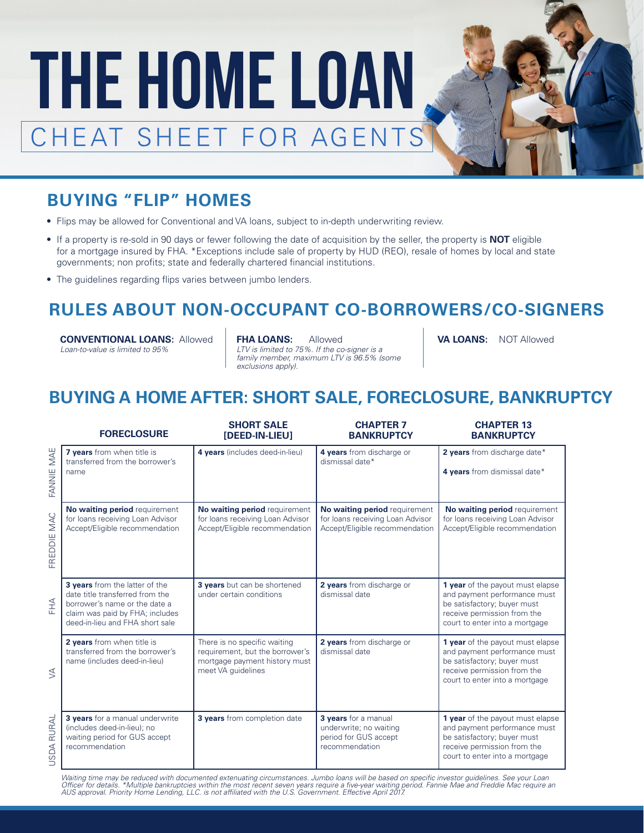

## **BUYING "FLIP" HOMES**

- Flips may be allowed for Conventional and VA loans, subject to in-depth underwriting review.
- If a property is re-sold in 90 days or fewer following the date of acquisition by the seller, the property is **NOT** eligible for a mortgage insured by FHA. \*Exceptions include sale of property by HUD (REO), resale of homes by local and state governments; non profits; state and federally chartered financial institutions.
- The guidelines regarding flips varies between jumbo lenders.

#### **RULES ABOUT NON-OCCUPANT CO-BORROWERS/CO-SIGNERS**

**CONVENTIONAL LOANS: Allowed FHA LOANS: Allowed** *Loan-to-value is limited to 95%*

*LTV is limited to 75%. If the co-signer is a family member, maximum LTV is 96.5% (some exclusions apply).*

VA LOANS: NOT Allowed

#### **BUYING A HOME AFTER: SHORT SALE, FORECLOSURE, BANKRUPTCY**

|                      | <b>FORECLOSURE</b>                                                                                                                                                       | <b>SHORT SALE</b><br>[DEED-IN-LIEU]                                                                                    | <b>CHAPTER 7</b><br><b>BANKRUPTCY</b>                                                               | <b>CHAPTER 13</b><br><b>BANKRUPTCY</b>                                                                                                                           |
|----------------------|--------------------------------------------------------------------------------------------------------------------------------------------------------------------------|------------------------------------------------------------------------------------------------------------------------|-----------------------------------------------------------------------------------------------------|------------------------------------------------------------------------------------------------------------------------------------------------------------------|
| MAE<br>FANNIE        | 7 years from when title is<br>transferred from the borrower's<br>name                                                                                                    | 4 years (includes deed-in-lieu)                                                                                        | 4 years from discharge or<br>dismissal date*                                                        | 2 years from discharge date*<br>4 years from dismissal date*                                                                                                     |
| FREDDIE MAC          | No waiting period requirement<br>for loans receiving Loan Advisor<br>Accept/Eligible recommendation                                                                      | No waiting period requirement<br>for loans receiving Loan Advisor<br>Accept/Eligible recommendation                    | No waiting period requirement<br>for loans receiving Loan Advisor<br>Accept/Eligible recommendation | No waiting period requirement<br>for loans receiving Loan Advisor<br>Accept/Eligible recommendation                                                              |
| HHA                  | 3 years from the latter of the<br>date title transferred from the<br>borrower's name or the date a<br>claim was paid by FHA; includes<br>deed-in-lieu and FHA short sale | 3 years but can be shortened<br>under certain conditions                                                               | 2 years from discharge or<br>dismissal date                                                         | 1 year of the payout must elapse<br>and payment performance must<br>be satisfactory; buyer must<br>receive permission from the<br>court to enter into a mortgage |
| $\lessgtr$           | 2 years from when title is<br>transferred from the borrower's<br>name (includes deed-in-lieu)                                                                            | There is no specific waiting<br>requirement, but the borrower's<br>mortgage payment history must<br>meet VA quidelines | 2 years from discharge or<br>dismissal date                                                         | 1 year of the payout must elapse<br>and payment performance must<br>be satisfactory; buyer must<br>receive permission from the<br>court to enter into a mortgage |
| RURAL<br><b>USDA</b> | 3 vears for a manual underwrite<br>(includes deed-in-lieu); no<br>waiting period for GUS accept<br>recommendation                                                        | 3 years from completion date                                                                                           | 3 years for a manual<br>underwrite; no waiting<br>period for GUS accept<br>recommendation           | 1 year of the payout must elapse<br>and payment performance must<br>be satisfactory; buyer must<br>receive permission from the<br>court to enter into a mortgage |

*Waiting time may be reduced with documented extenuating circumstances. Jumbo loans will be based on specific investor guidelines. See your Loan*  Officer for details. \*Multiple bankruptcies within the most recent seven years require a five-year waiting period. Fannie Mae and Freddie Mac require an<br>AUS approval. Priority Home Lending, LLC. is not affiliated with the